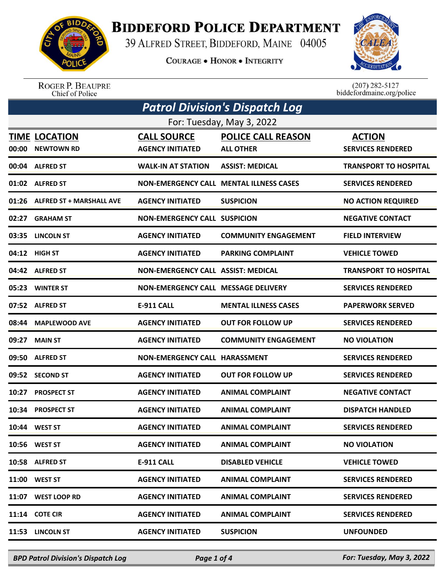

## **BIDDEFORD POLICE DEPARTMENT**

39 ALFRED STREET, BIDDEFORD, MAINE 04005

**COURAGE . HONOR . INTEGRITY** 



ROGER P. BEAUPRE<br>Chief of Police

 $(207)$  282-5127<br>biddefordmaine.org/police

|                           | Patrol Division's Dispatch Log            |                                               |                                                |                                           |  |
|---------------------------|-------------------------------------------|-----------------------------------------------|------------------------------------------------|-------------------------------------------|--|
| For: Tuesday, May 3, 2022 |                                           |                                               |                                                |                                           |  |
| 00:00                     | <b>TIME LOCATION</b><br><b>NEWTOWN RD</b> | <b>CALL SOURCE</b><br><b>AGENCY INITIATED</b> | <b>POLICE CALL REASON</b><br><b>ALL OTHER</b>  | <b>ACTION</b><br><b>SERVICES RENDERED</b> |  |
|                           | 00:04 ALFRED ST                           | <b>WALK-IN AT STATION</b>                     | <b>ASSIST: MEDICAL</b>                         | <b>TRANSPORT TO HOSPITAL</b>              |  |
|                           | 01:02 ALFRED ST                           |                                               | <b>NON-EMERGENCY CALL MENTAL ILLNESS CASES</b> | <b>SERVICES RENDERED</b>                  |  |
|                           | 01:26 ALFRED ST + MARSHALL AVE            | <b>AGENCY INITIATED</b>                       | <b>SUSPICION</b>                               | <b>NO ACTION REQUIRED</b>                 |  |
| 02:27                     | <b>GRAHAM ST</b>                          | <b>NON-EMERGENCY CALL SUSPICION</b>           |                                                | <b>NEGATIVE CONTACT</b>                   |  |
|                           | 03:35 LINCOLN ST                          | <b>AGENCY INITIATED</b>                       | <b>COMMUNITY ENGAGEMENT</b>                    | <b>FIELD INTERVIEW</b>                    |  |
|                           | 04:12 HIGH ST                             | <b>AGENCY INITIATED</b>                       | <b>PARKING COMPLAINT</b>                       | <b>VEHICLE TOWED</b>                      |  |
|                           | 04:42 ALFRED ST                           | <b>NON-EMERGENCY CALL ASSIST: MEDICAL</b>     |                                                | <b>TRANSPORT TO HOSPITAL</b>              |  |
| 05:23                     | <b>WINTER ST</b>                          | NON-EMERGENCY CALL MESSAGE DELIVERY           |                                                | <b>SERVICES RENDERED</b>                  |  |
|                           | 07:52 ALFRED ST                           | <b>E-911 CALL</b>                             | <b>MENTAL ILLNESS CASES</b>                    | <b>PAPERWORK SERVED</b>                   |  |
| 08:44                     | <b>MAPLEWOOD AVE</b>                      | <b>AGENCY INITIATED</b>                       | <b>OUT FOR FOLLOW UP</b>                       | <b>SERVICES RENDERED</b>                  |  |
| 09:27                     | <b>MAIN ST</b>                            | <b>AGENCY INITIATED</b>                       | <b>COMMUNITY ENGAGEMENT</b>                    | <b>NO VIOLATION</b>                       |  |
| 09:50                     | <b>ALFRED ST</b>                          | <b>NON-EMERGENCY CALL HARASSMENT</b>          |                                                | <b>SERVICES RENDERED</b>                  |  |
|                           | 09:52 SECOND ST                           | <b>AGENCY INITIATED</b>                       | <b>OUT FOR FOLLOW UP</b>                       | <b>SERVICES RENDERED</b>                  |  |
| 10:27                     | <b>PROSPECT ST</b>                        | <b>AGENCY INITIATED</b>                       | <b>ANIMAL COMPLAINT</b>                        | <b>NEGATIVE CONTACT</b>                   |  |
| 10:34                     | <b>PROSPECT ST</b>                        | <b>AGENCY INITIATED</b>                       | <b>ANIMAL COMPLAINT</b>                        | <b>DISPATCH HANDLED</b>                   |  |
|                           | 10:44 WEST ST                             | <b>AGENCY INITIATED</b>                       | <b>ANIMAL COMPLAINT</b>                        | <b>SERVICES RENDERED</b>                  |  |
|                           | 10:56 WEST ST                             | <b>AGENCY INITIATED</b>                       | <b>ANIMAL COMPLAINT</b>                        | <b>NO VIOLATION</b>                       |  |
| 10:58                     | <b>ALFRED ST</b>                          | <b>E-911 CALL</b>                             | <b>DISABLED VEHICLE</b>                        | <b>VEHICLE TOWED</b>                      |  |
| 11:00                     | <b>WEST ST</b>                            | <b>AGENCY INITIATED</b>                       | <b>ANIMAL COMPLAINT</b>                        | <b>SERVICES RENDERED</b>                  |  |
| 11:07                     | <b>WEST LOOP RD</b>                       | <b>AGENCY INITIATED</b>                       | <b>ANIMAL COMPLAINT</b>                        | <b>SERVICES RENDERED</b>                  |  |
| 11:14                     | <b>COTE CIR</b>                           | <b>AGENCY INITIATED</b>                       | <b>ANIMAL COMPLAINT</b>                        | <b>SERVICES RENDERED</b>                  |  |
| 11:53                     | <b>LINCOLN ST</b>                         | <b>AGENCY INITIATED</b>                       | <b>SUSPICION</b>                               | <b>UNFOUNDED</b>                          |  |

*BPD Patrol Division's Dispatch Log Page 1 of 4 For: Tuesday, May 3, 2022*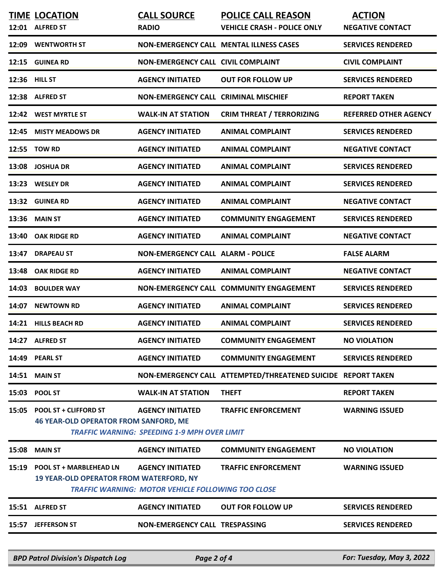|               |                                                                                  | <b>RADIO</b>                                                                         | <b>VEHICLE CRASH - POLICE ONLY</b>                           | <b>NEGATIVE CONTACT</b>      |
|---------------|----------------------------------------------------------------------------------|--------------------------------------------------------------------------------------|--------------------------------------------------------------|------------------------------|
| 12:09         | <b>WENTWORTH ST</b>                                                              | <b>NON-EMERGENCY CALL MENTAL ILLNESS CASES</b>                                       |                                                              | <b>SERVICES RENDERED</b>     |
| 12:15         | <b>GUINEA RD</b>                                                                 | <b>NON-EMERGENCY CALL CIVIL COMPLAINT</b>                                            |                                                              | <b>CIVIL COMPLAINT</b>       |
| 12:36 HILL ST |                                                                                  | <b>AGENCY INITIATED</b>                                                              | <b>OUT FOR FOLLOW UP</b>                                     | <b>SERVICES RENDERED</b>     |
| 12:38         | <b>ALFRED ST</b>                                                                 | <b>NON-EMERGENCY CALL CRIMINAL MISCHIEF</b>                                          |                                                              | <b>REPORT TAKEN</b>          |
| 12:42         | <b>WEST MYRTLE ST</b>                                                            | <b>WALK-IN AT STATION</b>                                                            | <b>CRIM THREAT / TERRORIZING</b>                             | <b>REFERRED OTHER AGENCY</b> |
| 12:45         | <b>MISTY MEADOWS DR</b>                                                          | <b>AGENCY INITIATED</b>                                                              | <b>ANIMAL COMPLAINT</b>                                      | <b>SERVICES RENDERED</b>     |
| 12:55         | <b>TOW RD</b>                                                                    | <b>AGENCY INITIATED</b>                                                              | <b>ANIMAL COMPLAINT</b>                                      | <b>NEGATIVE CONTACT</b>      |
| 13:08         | <b>JOSHUA DR</b>                                                                 | <b>AGENCY INITIATED</b>                                                              | <b>ANIMAL COMPLAINT</b>                                      | <b>SERVICES RENDERED</b>     |
| 13:23         | <b>WESLEY DR</b>                                                                 | <b>AGENCY INITIATED</b>                                                              | <b>ANIMAL COMPLAINT</b>                                      | <b>SERVICES RENDERED</b>     |
| 13:32         | <b>GUINEA RD</b>                                                                 | <b>AGENCY INITIATED</b>                                                              | <b>ANIMAL COMPLAINT</b>                                      | <b>NEGATIVE CONTACT</b>      |
| 13:36         | <b>MAIN ST</b>                                                                   | <b>AGENCY INITIATED</b>                                                              | <b>COMMUNITY ENGAGEMENT</b>                                  | <b>SERVICES RENDERED</b>     |
| 13:40         | <b>OAK RIDGE RD</b>                                                              | <b>AGENCY INITIATED</b>                                                              | <b>ANIMAL COMPLAINT</b>                                      | <b>NEGATIVE CONTACT</b>      |
| 13:47         | <b>DRAPEAU ST</b>                                                                | <b>NON-EMERGENCY CALL ALARM - POLICE</b>                                             |                                                              | <b>FALSE ALARM</b>           |
| 13:48         | <b>OAK RIDGE RD</b>                                                              | <b>AGENCY INITIATED</b>                                                              | <b>ANIMAL COMPLAINT</b>                                      | <b>NEGATIVE CONTACT</b>      |
| 14:03         | <b>BOULDER WAY</b>                                                               |                                                                                      | NON-EMERGENCY CALL COMMUNITY ENGAGEMENT                      | <b>SERVICES RENDERED</b>     |
| 14:07         | <b>NEWTOWN RD</b>                                                                | <b>AGENCY INITIATED</b>                                                              | <b>ANIMAL COMPLAINT</b>                                      | <b>SERVICES RENDERED</b>     |
| 14:21         | <b>HILLS BEACH RD</b>                                                            | <b>AGENCY INITIATED</b>                                                              | <b>ANIMAL COMPLAINT</b>                                      | <b>SERVICES RENDERED</b>     |
|               | 14:27 ALFRED ST                                                                  | <b>AGENCY INITIATED</b>                                                              | <b>COMMUNITY ENGAGEMENT</b>                                  | <b>NO VIOLATION</b>          |
|               | 14:49 PEARL ST                                                                   | <b>AGENCY INITIATED</b>                                                              | <b>COMMUNITY ENGAGEMENT</b>                                  | <b>SERVICES RENDERED</b>     |
| 14:51         | <b>MAIN ST</b>                                                                   |                                                                                      | NON-EMERGENCY CALL ATTEMPTED/THREATENED SUICIDE REPORT TAKEN |                              |
|               | 15:03 POOL ST                                                                    | <b>WALK-IN AT STATION</b>                                                            | <b>THEFT</b>                                                 | <b>REPORT TAKEN</b>          |
| 15:05         | <b>POOL ST + CLIFFORD ST</b><br><b>46 YEAR-OLD OPERATOR FROM SANFORD, ME</b>     | <b>AGENCY INITIATED</b><br><b>TRAFFIC WARNING: SPEEDING 1-9 MPH OVER LIMIT</b>       | <b>TRAFFIC ENFORCEMENT</b>                                   | <b>WARNING ISSUED</b>        |
| 15:08         | <b>MAIN ST</b>                                                                   | <b>AGENCY INITIATED</b>                                                              | <b>COMMUNITY ENGAGEMENT</b>                                  | <b>NO VIOLATION</b>          |
| 15:19         | <b>POOL ST + MARBLEHEAD LN</b><br><b>19 YEAR-OLD OPERATOR FROM WATERFORD, NY</b> | <b>AGENCY INITIATED</b><br><b>TRAFFIC WARNING: MOTOR VEHICLE FOLLOWING TOO CLOSE</b> | <b>TRAFFIC ENFORCEMENT</b>                                   | <b>WARNING ISSUED</b>        |
|               | 15:51 ALFRED ST                                                                  | <b>AGENCY INITIATED</b>                                                              | <b>OUT FOR FOLLOW UP</b>                                     | <b>SERVICES RENDERED</b>     |
|               | 15:57 JEFFERSON ST                                                               | <b>NON-EMERGENCY CALL TRESPASSING</b>                                                |                                                              | <b>SERVICES RENDERED</b>     |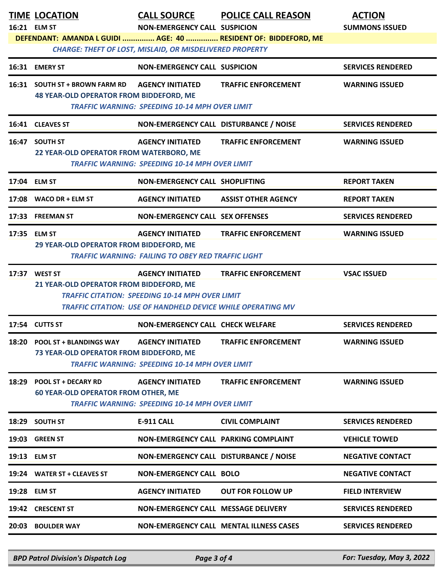|       | <b>TIME LOCATION</b><br>16:21 ELM ST                                                                                                                                                                                | <b>CALL SOURCE</b><br><b>NON-EMERGENCY CALL SUSPICION</b><br><b>CHARGE: THEFT OF LOST, MISLAID, OR MISDELIVERED PROPERTY</b>                     | <b>POLICE CALL REASON</b><br>DEFENDANT: AMANDA L GUIDI  AGE: 40  RESIDENT OF: BIDDEFORD, ME | <b>ACTION</b><br><b>SUMMONS ISSUED</b> |  |
|-------|---------------------------------------------------------------------------------------------------------------------------------------------------------------------------------------------------------------------|--------------------------------------------------------------------------------------------------------------------------------------------------|---------------------------------------------------------------------------------------------|----------------------------------------|--|
| 16:31 | <b>EMERY ST</b>                                                                                                                                                                                                     | <b>NON-EMERGENCY CALL SUSPICION</b>                                                                                                              |                                                                                             | <b>SERVICES RENDERED</b>               |  |
|       | 16:31 SOUTH ST + BROWN FARM RD<br><b>48 YEAR-OLD OPERATOR FROM BIDDEFORD, ME</b>                                                                                                                                    | <b>AGENCY INITIATED</b><br><b>TRAFFIC WARNING: SPEEDING 10-14 MPH OVER LIMIT</b>                                                                 | <b>TRAFFIC ENFORCEMENT</b>                                                                  | <b>WARNING ISSUED</b>                  |  |
|       | 16:41 CLEAVES ST                                                                                                                                                                                                    | NON-EMERGENCY CALL DISTURBANCE / NOISE                                                                                                           |                                                                                             | <b>SERVICES RENDERED</b>               |  |
|       | 16:47 SOUTH ST<br>22 YEAR-OLD OPERATOR FROM WATERBORO, ME                                                                                                                                                           | <b>AGENCY INITIATED</b><br><b>TRAFFIC WARNING: SPEEDING 10-14 MPH OVER LIMIT</b>                                                                 | <b>TRAFFIC ENFORCEMENT</b>                                                                  | <b>WARNING ISSUED</b>                  |  |
|       | 17:04 ELM ST                                                                                                                                                                                                        | NON-EMERGENCY CALL SHOPLIFTING                                                                                                                   |                                                                                             | <b>REPORT TAKEN</b>                    |  |
|       | 17:08 WACO DR + ELM ST                                                                                                                                                                                              | <b>AGENCY INITIATED</b>                                                                                                                          | <b>ASSIST OTHER AGENCY</b>                                                                  | <b>REPORT TAKEN</b>                    |  |
| 17:33 | <b>FREEMAN ST</b>                                                                                                                                                                                                   | <b>NON-EMERGENCY CALL SEX OFFENSES</b>                                                                                                           |                                                                                             | <b>SERVICES RENDERED</b>               |  |
|       | 17:35 ELM ST<br>29 YEAR-OLD OPERATOR FROM BIDDEFORD, ME                                                                                                                                                             | <b>AGENCY INITIATED</b><br><b>TRAFFIC WARNING: FAILING TO OBEY RED TRAFFIC LIGHT</b>                                                             | <b>TRAFFIC ENFORCEMENT</b>                                                                  | <b>WARNING ISSUED</b>                  |  |
|       | 17:37 WEST ST<br>21 YEAR-OLD OPERATOR FROM BIDDEFORD, ME                                                                                                                                                            | <b>AGENCY INITIATED</b><br><b>TRAFFIC CITATION: SPEEDING 10-14 MPH OVER LIMIT</b><br>TRAFFIC CITATION: USE OF HANDHELD DEVICE WHILE OPERATING MV | <b>TRAFFIC ENFORCEMENT</b>                                                                  | <b>VSAC ISSUED</b>                     |  |
|       | 17:54 CUTTS ST                                                                                                                                                                                                      | <b>NON-EMERGENCY CALL CHECK WELFARE</b>                                                                                                          |                                                                                             | <b>SERVICES RENDERED</b>               |  |
| 18:20 | <b>POOL ST + BLANDINGS WAY</b><br>73 YEAR-OLD OPERATOR FROM BIDDEFORD, ME                                                                                                                                           | <b>AGENCY INITIATED</b><br><b>TRAFFIC WARNING: SPEEDING 10-14 MPH OVER LIMIT</b>                                                                 | <b>TRAFFIC ENFORCEMENT</b>                                                                  | <b>WARNING ISSUED</b>                  |  |
| 18:29 | <b>AGENCY INITIATED</b><br><b>TRAFFIC ENFORCEMENT</b><br><b>WARNING ISSUED</b><br><b>POOL ST + DECARY RD</b><br><b>60 YEAR-OLD OPERATOR FROM OTHER, ME</b><br><b>TRAFFIC WARNING: SPEEDING 10-14 MPH OVER LIMIT</b> |                                                                                                                                                  |                                                                                             |                                        |  |
| 18:29 | <b>SOUTH ST</b>                                                                                                                                                                                                     | E-911 CALL                                                                                                                                       | <b>CIVIL COMPLAINT</b>                                                                      | <b>SERVICES RENDERED</b>               |  |
|       | 19:03 GREEN ST                                                                                                                                                                                                      | NON-EMERGENCY CALL PARKING COMPLAINT                                                                                                             |                                                                                             | <b>VEHICLE TOWED</b>                   |  |
|       | 19:13 ELM ST                                                                                                                                                                                                        | NON-EMERGENCY CALL DISTURBANCE / NOISE                                                                                                           |                                                                                             | <b>NEGATIVE CONTACT</b>                |  |
|       | 19:24 WATER ST + CLEAVES ST                                                                                                                                                                                         | <b>NON-EMERGENCY CALL BOLO</b>                                                                                                                   |                                                                                             | <b>NEGATIVE CONTACT</b>                |  |
|       | 19:28 ELM ST                                                                                                                                                                                                        | <b>AGENCY INITIATED</b>                                                                                                                          | <b>OUT FOR FOLLOW UP</b>                                                                    | <b>FIELD INTERVIEW</b>                 |  |
|       | 19:42 CRESCENT ST                                                                                                                                                                                                   | NON-EMERGENCY CALL MESSAGE DELIVERY                                                                                                              |                                                                                             | <b>SERVICES RENDERED</b>               |  |
|       | 20:03 BOULDER WAY                                                                                                                                                                                                   |                                                                                                                                                  | <b>NON-EMERGENCY CALL MENTAL ILLNESS CASES</b>                                              | <b>SERVICES RENDERED</b>               |  |

*BPD Patrol Division's Dispatch Log Page 3 of 4 For: Tuesday, May 3, 2022*